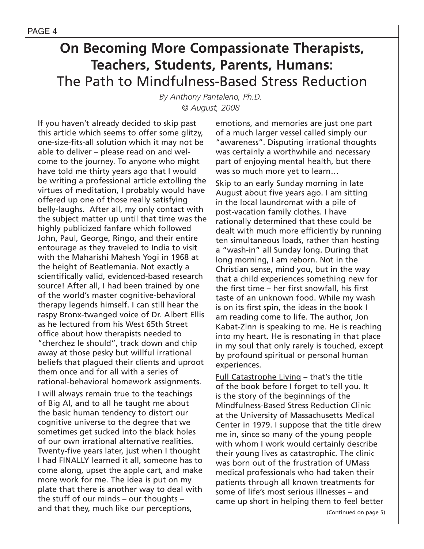*By Anthony Pantaleno, Ph.D. © August, 2008*

If you haven't already decided to skip past this article which seems to offer some glitzy, one-size-fits-all solution which it may not be able to deliver – please read on and welcome to the journey. To anyone who might have told me thirty years ago that I would be writing a professional article extolling the virtues of meditation, I probably would have offered up one of those really satisfying belly-laughs. After all, my only contact with the subject matter up until that time was the highly publicized fanfare which followed John, Paul, George, Ringo, and their entire entourage as they traveled to India to visit with the Maharishi Mahesh Yogi in 1968 at the height of Beatlemania. Not exactly a scientifically valid, evidenced-based research source! After all, I had been trained by one of the world's master cognitive-behavioral therapy legends himself. I can still hear the raspy Bronx-twanged voice of Dr. Albert Ellis as he lectured from his West 65th Street office about how therapists needed to "cherchez le should", track down and chip away at those pesky but willful irrational beliefs that plagued their clients and uproot them once and for all with a series of rational-behavioral homework assignments.

I will always remain true to the teachings of Big Al, and to all he taught me about the basic human tendency to distort our cognitive universe to the degree that we sometimes get sucked into the black holes of our own irrational alternative realities. Twenty-five years later, just when I thought I had FINALLY learned it all, someone has to come along, upset the apple cart, and make more work for me. The idea is put on my plate that there is another way to deal with the stuff of our minds – our thoughts – and that they, much like our perceptions,

emotions, and memories are just one part of a much larger vessel called simply our "awareness". Disputing irrational thoughts was certainly a worthwhile and necessary part of enjoying mental health, but there was so much more yet to learn…

Skip to an early Sunday morning in late August about five years ago. I am sitting in the local laundromat with a pile of post-vacation family clothes. I have rationally determined that these could be dealt with much more efficiently by running ten simultaneous loads, rather than hosting a "wash-in" all Sunday long. During that long morning, I am reborn. Not in the Christian sense, mind you, but in the way that a child experiences something new for the first time – her first snowfall, his first taste of an unknown food. While my wash is on its first spin, the ideas in the book I am reading come to life. The author, Jon Kabat-Zinn is speaking to me. He is reaching into my heart. He is resonating in that place in my soul that only rarely is touched, except by profound spiritual or personal human experiences.

Full Catastrophe Living – that's the title of the book before I forget to tell you. It is the story of the beginnings of the Mindfulness-Based Stress Reduction Clinic at the University of Massachusetts Medical Center in 1979. I suppose that the title drew me in, since so many of the young people with whom I work would certainly describe their young lives as catastrophic. The clinic was born out of the frustration of UMass medical professionals who had taken their patients through all known treatments for some of life's most serious illnesses – and came up short in helping them to feel better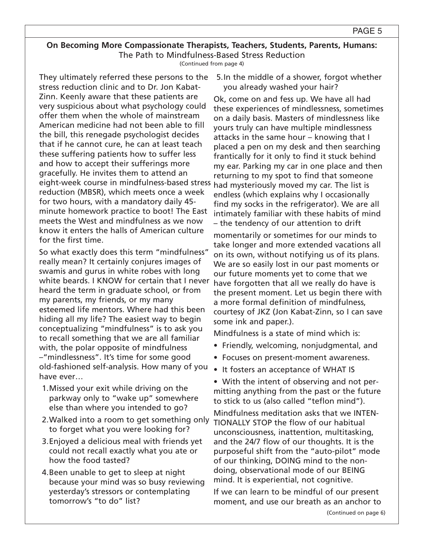(Continued from page 4)

They ultimately referred these persons to the stress reduction clinic and to Dr. Jon Kabat-Zinn. Keenly aware that these patients are very suspicious about what psychology could offer them when the whole of mainstream American medicine had not been able to fill the bill, this renegade psychologist decides that if he cannot cure, he can at least teach these suffering patients how to suffer less and how to accept their sufferings more gracefully. He invites them to attend an eight-week course in mindfulness-based stress reduction (MBSR), which meets once a week for two hours, with a mandatory daily 45 minute homework practice to boot! The East meets the West and mindfulness as we now know it enters the halls of American culture for the first time.

So what exactly does this term "mindfulness" really mean? It certainly conjures images of swamis and gurus in white robes with long white beards. I KNOW for certain that I never heard the term in graduate school, or from my parents, my friends, or my many esteemed life mentors. Where had this been hiding all my life? The easiest way to begin conceptualizing "mindfulness" is to ask you to recall something that we are all familiar with, the polar opposite of mindfulness –"mindlessness". It's time for some good old-fashioned self-analysis. How many of you have ever…

- 1.Missed your exit while driving on the parkway only to "wake up" somewhere else than where you intended to go?
- 2.Walked into a room to get something only to forget what you were looking for?
- 3.Enjoyed a delicious meal with friends yet could not recall exactly what you ate or how the food tasted?
- 4.Been unable to get to sleep at night because your mind was so busy reviewing yesterday's stressors or contemplating tomorrow's "to do" list?

5.In the middle of a shower, forgot whether you already washed your hair?

Ok, come on and fess up. We have all had these experiences of mindlessness, sometimes on a daily basis. Masters of mindlessness like yours truly can have multiple mindlessness attacks in the same hour – knowing that I placed a pen on my desk and then searching frantically for it only to find it stuck behind my ear. Parking my car in one place and then returning to my spot to find that someone had mysteriously moved my car. The list is endless (which explains why I occasionally find my socks in the refrigerator). We are all intimately familiar with these habits of mind – the tendency of our attention to drift

momentarily or sometimes for our minds to take longer and more extended vacations all on its own, without notifying us of its plans. We are so easily lost in our past moments or our future moments yet to come that we have forgotten that all we really do have is the present moment. Let us begin there with a more formal definition of mindfulness, courtesy of JKZ (Jon Kabat-Zinn, so I can save some ink and paper.).

Mindfulness is a state of mind which is:

- Friendly, welcoming, nonjudgmental, and
- Focuses on present-moment awareness.
- It fosters an acceptance of WHAT IS
- With the intent of observing and not permitting anything from the past or the future to stick to us (also called "teflon mind").

Mindfulness meditation asks that we INTEN-TIONALLY STOP the flow of our habitual unconsciousness, inattention, multitasking, and the 24/7 flow of our thoughts. It is the purposeful shift from the "auto-pilot" mode of our thinking, DOING mind to the nondoing, observational mode of our BEING mind. It is experiential, not cognitive.

If we can learn to be mindful of our present moment, and use our breath as an anchor to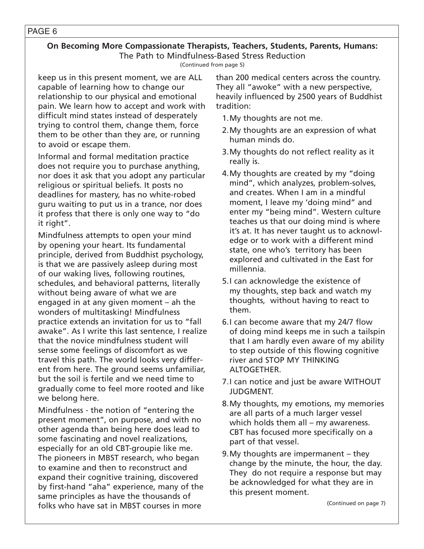#### PAGE 6

# **On Becoming More Compassionate Therapists, Teachers, Students, Parents, Humans:** The Path to Mindfulness-Based Stress Reduction

(Continued from page 5)

keep us in this present moment, we are ALL capable of learning how to change our relationship to our physical and emotional pain. We learn how to accept and work with difficult mind states instead of desperately trying to control them, change them, force them to be other than they are, or running to avoid or escape them.

Informal and formal meditation practice does not require you to purchase anything, nor does it ask that you adopt any particular religious or spiritual beliefs. It posts no deadlines for mastery, has no white-robed guru waiting to put us in a trance, nor does it profess that there is only one way to "do it right".

Mindfulness attempts to open your mind by opening your heart. Its fundamental principle, derived from Buddhist psychology, is that we are passively asleep during most of our waking lives, following routines, schedules, and behavioral patterns, literally without being aware of what we are engaged in at any given moment – ah the wonders of multitasking! Mindfulness practice extends an invitation for us to "fall awake". As I write this last sentence, I realize that the novice mindfulness student will sense some feelings of discomfort as we travel this path. The world looks very different from here. The ground seems unfamiliar, but the soil is fertile and we need time to gradually come to feel more rooted and like we belong here.

Mindfulness - the notion of "entering the present moment", on purpose, and with no other agenda than being here does lead to some fascinating and novel realizations, especially for an old CBT-groupie like me. The pioneers in MBST research, who began to examine and then to reconstruct and expand their cognitive training, discovered by first-hand "aha" experience, many of the same principles as have the thousands of folks who have sat in MBST courses in more

than 200 medical centers across the country. They all "awoke" with a new perspective, heavily influenced by 2500 years of Buddhist tradition:

- 1.My thoughts are not me.
- 2.My thoughts are an expression of what human minds do.
- 3.My thoughts do not reflect reality as it really is.
- 4.My thoughts are created by my "doing mind", which analyzes, problem-solves, and creates. When I am in a mindful moment, I leave my 'doing mind" and enter my "being mind". Western culture teaches us that our doing mind is where it's at. It has never taught us to acknowledge or to work with a different mind state, one who's territory has been explored and cultivated in the East for millennia.
- 5.I can acknowledge the existence of my thoughts, step back and watch my thoughts, without having to react to them.
- 6.I can become aware that my 24/7 flow of doing mind keeps me in such a tailspin that I am hardly even aware of my ability to step outside of this flowing cognitive river and STOP MY THINKING ALTOGETHER.
- 7.I can notice and just be aware WITHOUT JUDGMENT.
- 8.My thoughts, my emotions, my memories are all parts of a much larger vessel which holds them all – my awareness. CBT has focused more specifically on a part of that vessel.
- 9.My thoughts are impermanent they change by the minute, the hour, the day. They do not require a response but may be acknowledged for what they are in this present moment.

(Continued on page 7)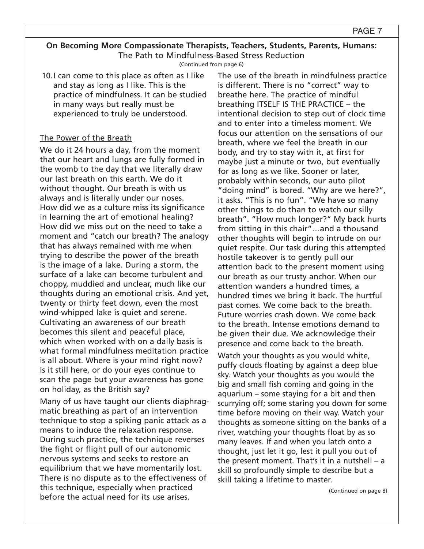(Continued from page 6)

10.I can come to this place as often as I like and stay as long as I like. This is the practice of mindfulness. It can be studied in many ways but really must be experienced to truly be understood.

## The Power of the Breath

We do it 24 hours a day, from the moment that our heart and lungs are fully formed in the womb to the day that we literally draw our last breath on this earth. We do it without thought. Our breath is with us always and is literally under our noses. How did we as a culture miss its significance in learning the art of emotional healing? How did we miss out on the need to take a moment and "catch our breath? The analogy that has always remained with me when trying to describe the power of the breath is the image of a lake. During a storm, the surface of a lake can become turbulent and choppy, muddied and unclear, much like our thoughts during an emotional crisis. And yet, twenty or thirty feet down, even the most wind-whipped lake is quiet and serene. Cultivating an awareness of our breath becomes this silent and peaceful place, which when worked with on a daily basis is what formal mindfulness meditation practice is all about. Where is your mind right now? Is it still here, or do your eyes continue to scan the page but your awareness has gone on holiday, as the British say?

Many of us have taught our clients diaphragmatic breathing as part of an intervention technique to stop a spiking panic attack as a means to induce the relaxation response. During such practice, the technique reverses the fight or flight pull of our autonomic nervous systems and seeks to restore an equilibrium that we have momentarily lost. There is no dispute as to the effectiveness of this technique, especially when practiced before the actual need for its use arises.

The use of the breath in mindfulness practice is different. There is no "correct" way to breathe here. The practice of mindful breathing ITSELF IS THE PRACTICE – the intentional decision to step out of clock time and to enter into a timeless moment. We focus our attention on the sensations of our breath, where we feel the breath in our body, and try to stay with it, at first for maybe just a minute or two, but eventually for as long as we like. Sooner or later, probably within seconds, our auto pilot "doing mind" is bored. "Why are we here?", it asks. "This is no fun". "We have so many other things to do than to watch our silly breath". "How much longer?" My back hurts from sitting in this chair"…and a thousand other thoughts will begin to intrude on our quiet respite. Our task during this attempted hostile takeover is to gently pull our attention back to the present moment using our breath as our trusty anchor. When our attention wanders a hundred times, a hundred times we bring it back. The hurtful past comes. We come back to the breath. Future worries crash down. We come back to the breath. Intense emotions demand to be given their due. We acknowledge their presence and come back to the breath.

Watch your thoughts as you would white, puffy clouds floating by against a deep blue sky. Watch your thoughts as you would the big and small fish coming and going in the aquarium – some staying for a bit and then scurrying off; some staring you down for some time before moving on their way. Watch your thoughts as someone sitting on the banks of a river, watching your thoughts float by as so many leaves. If and when you latch onto a thought, just let it go, lest it pull you out of the present moment. That's it in a nutshell – a skill so profoundly simple to describe but a skill taking a lifetime to master.

(Continued on page 8)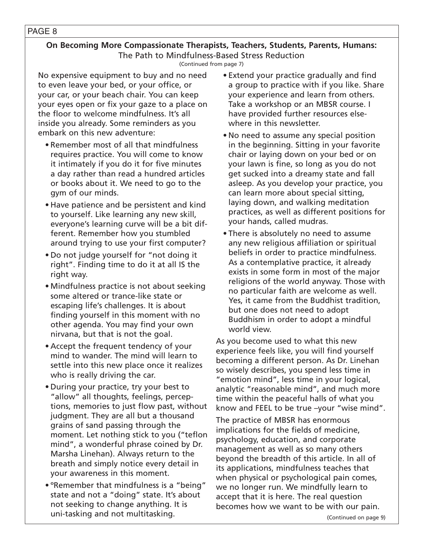#### PAGE 8

# **On Becoming More Compassionate Therapists, Teachers, Students, Parents, Humans:** The Path to Mindfulness-Based Stress Reduction

(Continued from page 7)

No expensive equipment to buy and no need to even leave your bed, or your office, or your car, or your beach chair. You can keep your eyes open or fix your gaze to a place on the floor to welcome mindfulness. It's all inside you already. Some reminders as you embark on this new adventure:

- Remember most of all that mindfulness requires practice. You will come to know it intimately if you do it for five minutes a day rather than read a hundred articles or books about it. We need to go to the gym of our minds.
- Have patience and be persistent and kind to yourself. Like learning any new skill, everyone's learning curve will be a bit different. Remember how you stumbled around trying to use your first computer?
- Do not judge yourself for "not doing it right". Finding time to do it at all IS the right way.
- Mindfulness practice is not about seeking some altered or trance-like state or escaping life's challenges. It is about finding yourself in this moment with no other agenda. You may find your own nirvana, but that is not the goal.
- Accept the frequent tendency of your mind to wander. The mind will learn to settle into this new place once it realizes who is really driving the car.
- During your practice, try your best to "allow" all thoughts, feelings, perceptions, memories to just flow past, without judgment. They are all but a thousand grains of sand passing through the moment. Let nothing stick to you ("teflon mind", a wonderful phrase coined by Dr. Marsha Linehan). Always return to the breath and simply notice every detail in your awareness in this moment.
- ºRemember that mindfulness is a "being" state and not a "doing" state. It's about not seeking to change anything. It is uni-tasking and not multitasking.
- Extend your practice gradually and find a group to practice with if you like. Share your experience and learn from others. Take a workshop or an MBSR course. I have provided further resources elsewhere in this newsletter.
- No need to assume any special position in the beginning. Sitting in your favorite chair or laying down on your bed or on your lawn is fine, so long as you do not get sucked into a dreamy state and fall asleep. As you develop your practice, you can learn more about special sitting, laying down, and walking meditation practices, as well as different positions for your hands, called mudras.
- There is absolutely no need to assume any new religious affiliation or spiritual beliefs in order to practice mindfulness. As a contemplative practice, it already exists in some form in most of the major religions of the world anyway. Those with no particular faith are welcome as well. Yes, it came from the Buddhist tradition, but one does not need to adopt Buddhism in order to adopt a mindful world view.

As you become used to what this new experience feels like, you will find yourself becoming a different person. As Dr. Linehan so wisely describes, you spend less time in "emotion mind", less time in your logical, analytic "reasonable mind", and much more time within the peaceful halls of what you know and FEEL to be true –your "wise mind".

The practice of MBSR has enormous implications for the fields of medicine, psychology, education, and corporate management as well as so many others beyond the breadth of this article. In all of its applications, mindfulness teaches that when physical or psychological pain comes, we no longer run. We mindfully learn to accept that it is here. The real question becomes how we want to be with our pain.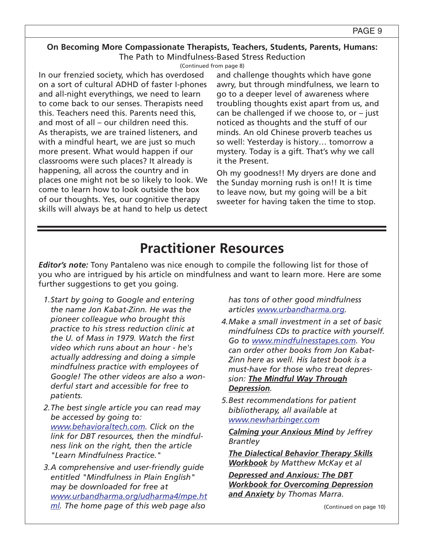(Continued from page 8)

In our frenzied society, which has overdosed on a sort of cultural ADHD of faster I-phones and all-night everythings, we need to learn to come back to our senses. Therapists need this. Teachers need this. Parents need this, and most of all – our children need this. As therapists, we are trained listeners, and with a mindful heart, we are just so much more present. What would happen if our classrooms were such places? It already is happening, all across the country and in places one might not be so likely to look. We come to learn how to look outside the box of our thoughts. Yes, our cognitive therapy skills will always be at hand to help us detect and challenge thoughts which have gone awry, but through mindfulness, we learn to go to a deeper level of awareness where troubling thoughts exist apart from us, and can be challenged if we choose to, or  $-$  just noticed as thoughts and the stuff of our minds. An old Chinese proverb teaches us so well: Yesterday is history… tomorrow a mystery. Today is a gift. That's why we call it the Present.

Oh my goodness!! My dryers are done and the Sunday morning rush is on!! It is time to leave now, but my going will be a bit sweeter for having taken the time to stop.

# **Practitioner Resources**

*Editor's note:* Tony Pantaleno was nice enough to compile the following list for those of you who are intrigued by his article on mindfulness and want to learn more. Here are some further suggestions to get you going.

- *1.Start by going to Google and entering the name Jon Kabat-Zinn. He was the pioneer colleague who brought this practice to his stress reduction clinic at the U. of Mass in 1979. Watch the first video which runs about an hour - he's actually addressing and doing a simple mindfulness practice with employees of Google! The other videos are also a wonderful start and accessible for free to patients.*
- *2.The best single article you can read may be accessed by going to: www.behavioraltech.com. Click on the link for DBT resources, then the mindfulness link on the right, then the article "Learn Mindfulness Practice."*
- *3.A comprehensive and user-friendly guide entitled "Mindfulness in Plain English" may be downloaded for free at www.urbandharma.org/udharma4/mpe.ht ml. The home page of this web page also*

*has tons of other good mindfulness articles www.urbandharma.org.* 

- *4.Make a small investment in a set of basic mindfulness CDs to practice with yourself. Go to www.mindfulnesstapes.com. You can order other books from Jon Kabat-Zinn here as well. His latest book is a must-have for those who treat depression: The Mindful Way Through Depression.*
- *5.Best recommendations for patient bibliotherapy, all available at www.newharbinger.com*

*Calming your Anxious Mind by Jeffrey Brantley* 

*The Dialectical Behavior Therapy Skills Workbook by Matthew McKay et al* 

*Depressed and Anxious: The DBT Workbook for Overcoming Depression and Anxiety by Thomas Marra.*

(Continued on page 10)